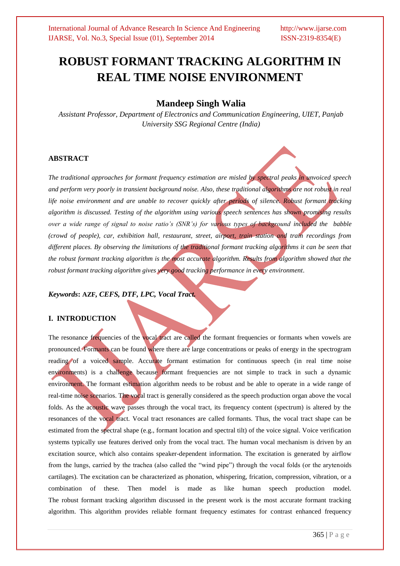# **ROBUST FORMANT TRACKING ALGORITHM IN REAL TIME NOISE ENVIRONMENT**

## **Mandeep Singh Walia**

*Assistant Professor, Department of Electronics and Communication Engineering, UIET, Panjab University SSG Regional Centre (India)*

### **ABSTRACT**

*The traditional approaches for formant frequency estimation are misled by spectral peaks in unvoiced speech*  and perform very poorly in transient background noise. Also, these traditional algorithms are not robust in real *life noise environment and are unable to recover quickly after periods of silence. Robust formant tracking algorithm is discussed. Testing of the algorithm using various speech sentences has shown promising results over a wide range of signal to noise ratio's (SNR's) for various types of background included the babble (crowd of people), car, exhibition hall, restaurant, street, airport, train station and train recordings from different places. By observing the limitations of the traditional formant tracking algorithms it can be seen that the robust formant tracking algorithm is the most accurate algorithm. Results from algorithm showed that the robust formant tracking algorithm gives very good tracking performance in every environment.*

#### *Keywords***: AZF***, CEFS, DTF, LPC, Vocal Tract.*

#### **I. INTRODUCTION**

The resonance frequencies of the vocal tract are called the formant frequencies or formants when vowels are pronounced. Formants can be found where there are large concentrations or peaks of energy in the spectrogram reading of a voiced sample. Accurate formant estimation for continuous speech (in real time noise environments) is a challenge because formant frequencies are not simple to track in such a dynamic environment. The formant estimation algorithm needs to be robust and be able to operate in a wide range of real-time noise scenarios. The vocal tract is generally considered as the speech production organ above the vocal folds. As the acoustic wave passes through the vocal tract, its frequency content (spectrum) is altered by the resonances of the vocal tract. Vocal tract resonances are called formants. Thus, the vocal tract shape can be estimated from the spectral shape (e.g., formant location and spectral tilt) of the voice signal. Voice verification systems typically use features derived only from the vocal tract. The human vocal mechanism is driven by an excitation source, which also contains speaker-dependent information. The excitation is generated by airflow from the lungs, carried by the trachea (also called the "wind pipe") through the vocal folds (or the arytenoids cartilages). The excitation can be characterized as phonation, whispering, frication, compression, vibration, or a combination of these. Then model is made as like human speech production model. The robust formant tracking algorithm discussed in the present work is the most accurate formant tracking algorithm. This algorithm provides reliable formant frequency estimates for contrast enhanced frequency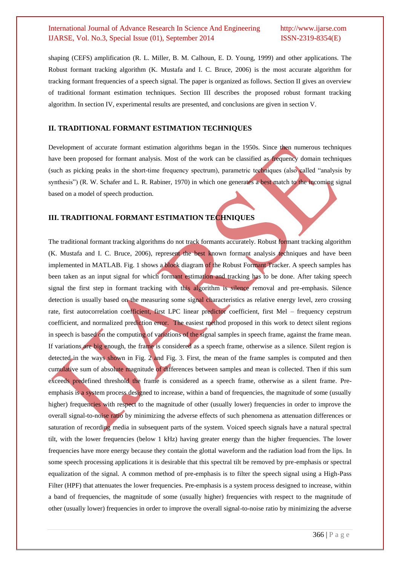shaping (CEFS) amplification (R. L. Miller, B. M. Calhoun, E. D. Young, 1999) and other applications. The Robust formant tracking algorithm (K. Mustafa and I. C. Bruce, 2006) is the most accurate algorithm for tracking formant frequencies of a speech signal. The paper is organized as follows. Section II gives an overview of traditional formant estimation techniques. Section III describes the proposed robust formant tracking algorithm. In section IV, experimental results are presented, and conclusions are given in section V.

#### **II. TRADITIONAL FORMANT ESTIMATION TECHNIQUES**

Development of accurate formant estimation algorithms began in the 1950s. Since then numerous techniques have been proposed for formant analysis. Most of the work can be classified as frequency domain techniques (such as picking peaks in the short-time frequency spectrum), parametric techniques (also called "analysis by synthesis") (R. W. Schafer and L. R. Rabiner, 1970) in which one generates a best match to the incoming signal based on a model of speech production*.*

#### **III. TRADITIONAL FORMANT ESTIMATION TECHNIQUES**

The traditional formant tracking algorithms do not track formants accurately. Robust formant tracking algorithm (K. Mustafa and I. C. Bruce, 2006), represent the best known formant analysis techniques and have been implemented in MATLAB. Fig. 1 shows a block diagram of the Robust Formant Tracker. A speech samples has been taken as an input signal for which formant estimation and tracking has to be done. After taking speech signal the first step in formant tracking with this algorithm is silence removal and pre-emphasis. Silence detection is usually based on the measuring some signal characteristics as relative energy level, zero crossing rate, first autocorrelation coefficient, first LPC linear predictor coefficient, first Mel – frequency cepstrum coefficient, and normalized prediction error. The easiest method proposed in this work to detect silent regions in speech is based on the computing of variations of the signal samples in speech frame, against the frame mean. If variations are big enough, the frame is considered as a speech frame, otherwise as a silence. Silent region is detected in the ways shown in Fig. 2 and Fig. 3. First, the mean of the frame samples is computed and then cumulative sum of absolute magnitude of differences between samples and mean is collected. Then if this sum exceeds predefined threshold the frame is considered as a speech frame, otherwise as a silent frame. Preemphasis is a system process designed to increase, within a band of frequencies, the magnitude of some (usually higher) frequencies with respect to the magnitude of other (usually lower) frequencies in order to improve the overall signal-to-noise ratio by minimizing the adverse effects of such phenomena as attenuation differences or saturation of recording media in subsequent parts of the system. Voiced speech signals have a natural spectral tilt, with the lower frequencies (below 1 kHz) having greater energy than the higher frequencies. The lower frequencies have more energy because they contain the glottal waveform and the radiation load from the lips. In some speech processing applications it is desirable that this spectral tilt be removed by pre-emphasis or spectral equalization of the signal. A common method of pre-emphasis is to filter the speech signal using a High-Pass Filter (HPF) that attenuates the lower frequencies. Pre-emphasis is a system process designed to increase, within a band of frequencies, the magnitude of some (usually higher) frequencies with respect to the magnitude of other (usually lower) frequencies in order to improve the overall signal-to-noise ratio by minimizing the adverse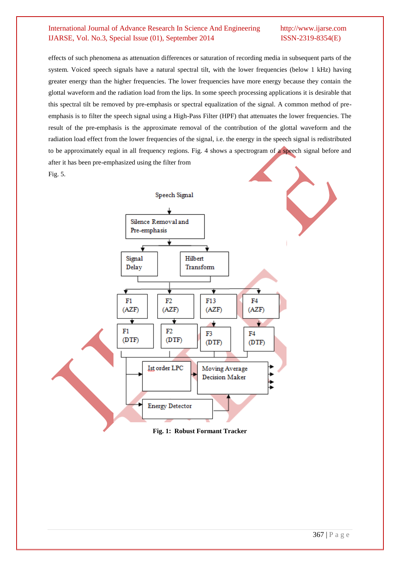effects of such phenomena as attenuation differences or saturation of recording media in subsequent parts of the system. Voiced speech signals have a natural spectral tilt, with the lower frequencies (below 1 kHz) having greater energy than the higher frequencies. The lower frequencies have more energy because they contain the glottal waveform and the radiation load from the lips. In some speech processing applications it is desirable that this spectral tilt be removed by pre-emphasis or spectral equalization of the signal. A common method of preemphasis is to filter the speech signal using a High-Pass Filter (HPF) that attenuates the lower frequencies. The result of the pre-emphasis is the approximate removal of the contribution of the glottal waveform and the radiation load effect from the lower frequencies of the signal, i.e. the energy in the speech signal is redistributed to be approximately equal in all frequency regions. Fig. 4 shows a spectrogram of a speech signal before and after it has been pre-emphasized using the filter from Fig. 5.



**Fig. 1: Robust Formant Tracker**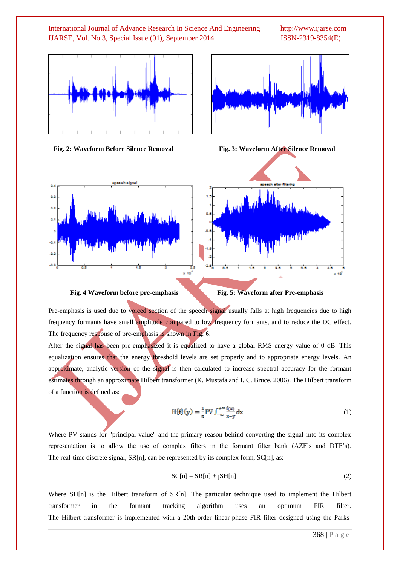



 **Fig. 2: Waveform Before Silence Removal Fig. 3: Waveform After Silence Removal**

 $\alpha$  .  $0.2$  $\alpha$ ö.

A. -44





 **Fig. 4 Waveform before pre-emphasis Fig. 5: Waveform after Pre-emphasis**

Pre-emphasis is used due to voiced section of the speech signal usually falls at high frequencies due to high frequency formants have small amplitude compared to low frequency formants, and to reduce the DC effect. The frequency response of pre-emphasis is shown in Fig. 6.

After the signal has been pre-emphasized it is equalized to have a global RMS energy value of 0 dB. This equalization ensures that the energy threshold levels are set properly and to appropriate energy levels. An approximate, analytic version of the signal is then calculated to increase spectral accuracy for the formant estimates through an approximate Hilbert transformer (K. Mustafa and I. C. Bruce, 2006). The Hilbert transform of a function is defined as:

$$
H\{f\}(y) = \frac{1}{\pi}PV \int_{-\infty}^{+\infty} \frac{f(x)}{x-y} dx
$$
 (1)

Where PV stands for "principal value" and the primary reason behind converting the signal into its complex representation is to allow the use of complex filters in the formant filter bank (AZF's and DTF's). The real-time discrete signal, SR[n], can be represented by its complex form, SC[n], as:

$$
SC[n] = SR[n] + jSH[n]
$$
 (2)

Where SH[n] is the Hilbert transform of SR[n]. The particular technique used to implement the Hilbert transformer in the formant tracking algorithm uses an optimum FIR filter. The Hilbert transformer is implemented with a 20th-order linear-phase FIR filter designed using the Parks-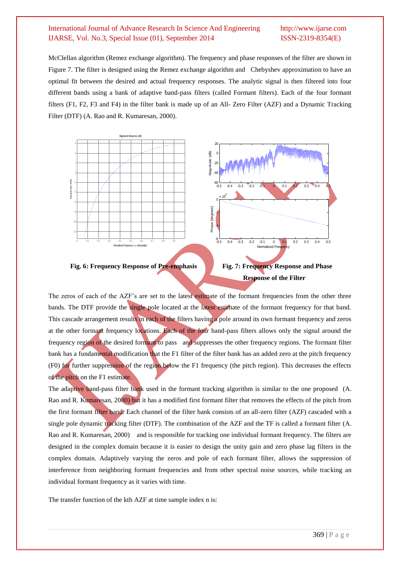McClellan algorithm (Remez exchange algorithm). The frequency and phase responses of the filter are shown in Figure 7. The filter is designed using the Remez exchange algorithm and Chebyshev approximation to have an optimal fit between the desired and actual frequency responses. The analytic signal is then filtered into four different bands using a bank of adaptive band-pass filters (called Formant filters). Each of the four formant filters (F1, F2, F3 and F4) in the filter bank is made up of an All- Zero Filter (AZF) and a Dynamic Tracking Filter (DTF) (A. Rao and R. Kumaresan, 2000).







The zeros of each of the AZF"s are set to the latest estimate of the formant frequencies from the other three bands. The DTF provide the single pole located at the latest estimate of the formant frequency for that band. This cascade arrangement results in each of the filters having a pole around its own formant frequency and zeros at the other formant frequency locations. Each of the four band-pass filters allows only the signal around the frequency region of the desired formant to pass and suppresses the other frequency regions. The formant filter bank has a fundamental modification that the F1 filter of the filter bank has an added zero at the pitch frequency (F0) for further suppression of the region below the F1 frequency (the pitch region). This decreases the effects of the pitch on the  $F1$  estimate.

The adaptive band-pass filter bank used in the formant tracking algorithm is similar to the one proposed (A. Rao and R. Kumaresan, 2000) but it has a modified first formant filter that removes the effects of the pitch from the first formant filter band. Each channel of the filter bank consists of an all-zero filter (AZF) cascaded with a single pole dynamic tracking filter (DTF). The combination of the AZF and the TF is called a formant filter (A. Rao and R. Kumaresan, 2000) and is responsible for tracking one individual formant frequency. The filters are designed in the complex domain because it is easier to design the unity gain and zero phase lag filters in the complex domain. Adaptively varying the zeros and pole of each formant filter, allows the suppression of interference from neighboring formant frequencies and from other spectral noise sources, while tracking an individual formant frequency as it varies with time.

The transfer function of the kth AZF at time sample index n is: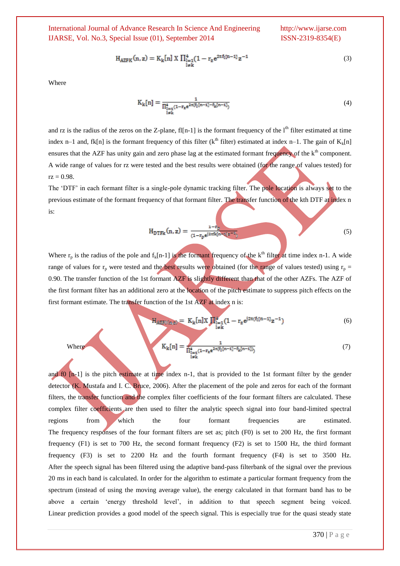$$
H_{AZFK}(n, z) = K_k[n] \times \prod_{\substack{l=1\\l \neq k}}^{4} (1 - r_z e^{2\pi f_l[n-1]} z^{-1}
$$
 (3)

Where

$$
K_{k}[n] = \frac{1}{\prod_{\substack{i=1 \ i \neq k}}^{4} (1 - r_{z} e^{2\pi (f_{i}[n-1] - f_{k}[n-1])})}
$$
(4)

and rz is the radius of the zeros on the Z-plane, fl[n-1] is the formant frequency of the  $l<sup>th</sup>$  filter estimated at time index n–1 and, fk[n] is the formant frequency of this filter (k<sup>th</sup> filter) estimated at index n–1. The gain of K<sub>k</sub>[n] ensures that the AZF has unity gain and zero phase lag at the estimated formant frequency of the k<sup>th</sup> component. A wide range of values for rz were tested and the best results were obtained (for the range of values tested) for  $\text{rz} = 0.98.$ 

The 'DTF' in each formant filter is a single-pole dynamic tracking filter. The pole location is always set to the previous estimate of the formant frequency of that formant filter. The transfer function of the kth DTF at index n is:

$$
H_{DTFK}(n, z) = \frac{1 - r_p}{(1 - r_p e^{j2\pi f k (n - z)/z^{-1}})}
$$
\n
$$
\tag{5}
$$

Where  $r_p$  is the radius of the pole and  $f_k[n-1]$  is the formant frequency of the k<sup>th</sup> filter at time index n-1. A wide range of values for  $r_p$  were tested and the best results were obtained (for the range of values tested) using  $r_p$  = 0.90. The transfer function of the 1st formant AZF is slightly different than that of the other AZFs. The AZF of the first formant filter has an additional zero at the location of the pitch estimate to suppress pitch effects on the first formant estimate. The transfer function of the 1st AZF at index n is:

$$
H_{\text{AZFL}(n,z)} = K_k[n]X \prod_{\substack{i=1\\i \neq k}}^4 (1 - r_z e^{j2\pi (f_1[n-1]}z^{-1})
$$
 (6)

Where 
$$
K_{k}[n] = \frac{1}{\prod_{\substack{i=1 \ i \neq k}}^{4} (1 - r_{z} e^{2\pi (f_{1}[n-1] - f_{k}[n-1])})}
$$
(7)

and f0 [n-1] is the pitch estimate at time index n-1, that is provided to the 1st formant filter by the gender detector (K. Mustafa and I. C. Bruce, 2006). After the placement of the pole and zeros for each of the formant filters, the transfer function and the complex filter coefficients of the four formant filters are calculated. These complex filter coefficients are then used to filter the analytic speech signal into four band-limited spectral regions from which the four formant frequencies are estimated. The frequency responses of the four formant filters are set as; pitch (F0) is set to 200 Hz, the first formant frequency (F1) is set to 700 Hz, the second formant frequency (F2) is set to 1500 Hz, the third formant frequency (F3) is set to 2200 Hz and the fourth formant frequency (F4) is set to 3500 Hz. After the speech signal has been filtered using the adaptive band-pass filterbank of the signal over the previous 20 ms in each band is calculated. In order for the algorithm to estimate a particular formant frequency from the spectrum (instead of using the moving average value), the energy calculated in that formant band has to be above a certain "energy threshold level", in addition to that speech segment being voiced. Linear prediction provides a good model of the speech signal. This is especially true for the quasi steady state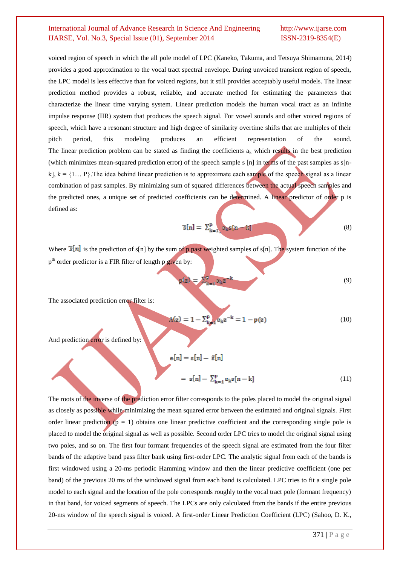voiced region of speech in which the all pole model of LPC (Kaneko, Takuma, and Tetsuya Shimamura, 2014) provides a good approximation to the vocal tract spectral envelope. During unvoiced transient region of speech, the LPC model is less effective than for voiced regions, but it still provides acceptably useful models. The linear prediction method provides a robust, reliable, and accurate method for estimating the parameters that characterize the linear time varying system. Linear prediction models the human vocal tract as an infinite impulse response (IIR) system that produces the speech signal. For vowel sounds and other voiced regions of speech, which have a resonant structure and high degree of similarity overtime shifts that are multiples of their pitch period, this modeling produces an efficient representation of the sound. The linear prediction problem can be stated as finding the coefficients  $a_k$  which results in the best prediction (which minimizes mean-squared prediction error) of the speech sample s [n] in terms of the past samples as s[nk],  $k = \{1... P\}$ . The idea behind linear prediction is to approximate each sample of the speech signal as a linear combination of past samples. By minimizing sum of squared differences between the actual speech samples and the predicted ones, a unique set of predicted coefficients can be determined. A linear predictor of order p is defined as:

$$
\widetilde{\mathbf{s}}[n] = \sum_{k=1}^{p} \alpha_k \mathbf{s}[n-k] \tag{8}
$$

Where  $\tilde{\sigma}[n]$  is the prediction of s[n] by the sum of p past weighted samples of s[n]. The system function of the p<sup>th</sup> order predictor is a FIR filter of length p given by:

$$
z = \sum_{k=1}^{p} \alpha_k z^{-k} \tag{9}
$$

The associated prediction error filter is:

$$
A(z) = 1 - \sum_{k=1}^{p} \alpha_k z^{-k} = 1 - p(z)
$$
 (10)

And prediction error is defined by:

$$
e[n] = s[n] - \tilde{s}[n]
$$

$$
= s[n] - \sum_{k=1}^{p} \alpha_k s[n-k]
$$
(11)

The roots of the inverse of the prediction error filter corresponds to the poles placed to model the original signal as closely as possible while minimizing the mean squared error between the estimated and original signals. First order linear prediction  $(p = 1)$  obtains one linear predictive coefficient and the corresponding single pole is placed to model the original signal as well as possible. Second order LPC tries to model the original signal using two poles, and so on. The first four formant frequencies of the speech signal are estimated from the four filter bands of the adaptive band pass filter bank using first-order LPC. The analytic signal from each of the bands is first windowed using a 20-ms periodic Hamming window and then the linear predictive coefficient (one per band) of the previous 20 ms of the windowed signal from each band is calculated. LPC tries to fit a single pole model to each signal and the location of the pole corresponds roughly to the vocal tract pole (formant frequency) in that band, for voiced segments of speech. The LPCs are only calculated from the bands if the entire previous 20-ms window of the speech signal is voiced. A first-order Linear Prediction Coefficient (LPC) (Sahoo, D. K.,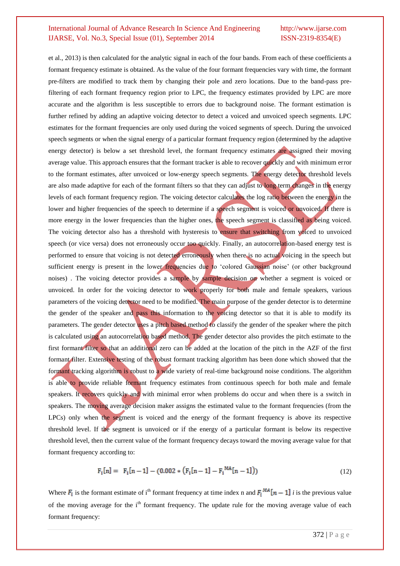et al., 2013) is then calculated for the analytic signal in each of the four bands. From each of these coefficients a formant frequency estimate is obtained. As the value of the four formant frequencies vary with time, the formant pre-filters are modified to track them by changing their pole and zero locations. Due to the band-pass prefiltering of each formant frequency region prior to LPC, the frequency estimates provided by LPC are more accurate and the algorithm is less susceptible to errors due to background noise. The formant estimation is further refined by adding an adaptive voicing detector to detect a voiced and unvoiced speech segments. LPC estimates for the formant frequencies are only used during the voiced segments of speech. During the unvoiced speech segments or when the signal energy of a particular formant frequency region (determined by the adaptive energy detector) is below a set threshold level, the formant frequency estimates are assigned their moving average value. This approach ensures that the formant tracker is able to recover quickly and with minimum error to the formant estimates, after unvoiced or low-energy speech segments. The energy detector threshold levels are also made adaptive for each of the formant filters so that they can adjust to long term changes in the energy levels of each formant frequency region. The voicing detector calculates the log ratio between the energy in the lower and higher frequencies of the speech to determine if a speech segment is voiced or unvoiced. If there is more energy in the lower frequencies than the higher ones, the speech segment is classified as being voiced. The voicing detector also has a threshold with hysteresis to ensure that switching from voiced to unvoiced speech (or vice versa) does not erroneously occur too quickly. Finally, an autocorrelation-based energy test is performed to ensure that voicing is not detected erroneously when there is no actual voicing in the speech but sufficient energy is present in the lower frequencies due to 'colored Gaussian noise' (or other background noises) . The voicing detector provides a sample by sample decision on whether a segment is voiced or unvoiced. In order for the voicing detector to work properly for both male and female speakers, various parameters of the voicing detector need to be modified. The main purpose of the gender detector is to determine the gender of the speaker and pass this information to the voicing detector so that it is able to modify its parameters. The gender detector uses a pitch based method to classify the gender of the speaker where the pitch is calculated using an autocorrelation based method. The gender detector also provides the pitch estimate to the first formant filter so that an additional zero can be added at the location of the pitch in the AZF of the first formant filter. Extensive testing of the robust formant tracking algorithm has been done which showed that the formant tracking algorithm is robust to a wide variety of real-time background noise conditions. The algorithm is able to provide reliable formant frequency estimates from continuous speech for both male and female speakers. It recovers quickly and with minimal error when problems do occur and when there is a switch in speakers. The moving average decision maker assigns the estimated value to the formant frequencies (from the LPCs) only when the segment is voiced and the energy of the formant frequency is above its respective threshold level. If the segment is unvoiced or if the energy of a particular formant is below its respective threshold level, then the current value of the formant frequency decays toward the moving average value for that formant frequency according to:

$$
F_i[n] = F_i[n-1] - (0.002 * (F_i[n-1] - F_i^{MA}[n-1])) \tag{12}
$$

Where  $F_i$  is the formant estimate of i<sup>th</sup> formant frequency at time index n and  $F_i^{MA}[n-1]$  *i* is the previous value of the moving average for the  $i<sup>th</sup>$  formant frequency. The update rule for the moving average value of each formant frequency: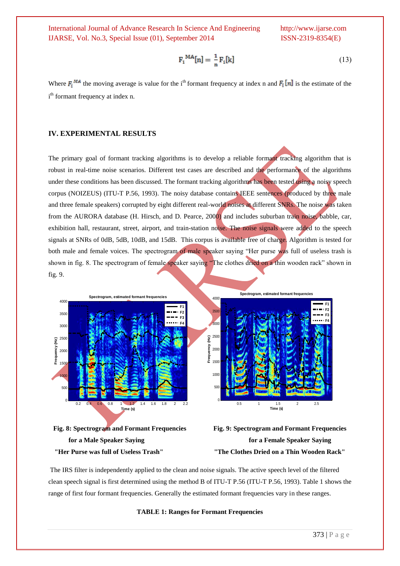$$
F_i^{\text{MA}}[n] = \frac{1}{n} F_i[k] \tag{13}
$$

Where  $F_i^{\text{MA}}$  the moving average is value for the i<sup>th</sup> formant frequency at index n and  $F_i[n]$  is the estimate of the i<sup>th</sup> formant frequency at index n.

#### **IV. EXPERIMENTAL RESULTS**

The primary goal of formant tracking algorithms is to develop a reliable formant tracking algorithm that is robust in real-time noise scenarios. Different test cases are described and the performance of the algorithms under these conditions has been discussed. The formant tracking algorithms has been tested using a noisy speech corpus (NOIZEUS) (ITU-T P.56, 1993). The noisy database contains IEEE sentences (produced by three male and three female speakers) corrupted by eight different real-world noises at different SNRs. The noise was taken from the AURORA database (H. Hirsch, and D. Pearce, 2000) and includes suburban train noise, babble, car, exhibition hall, restaurant, street, airport, and train-station noise. The noise signals were added to the speech signals at SNRs of 0dB, 5dB, 10dB, and 15dB. This corpus is available free of charge. Algorithm is tested for both male and female voices. The spectrogram of male speaker saying "Her purse was full of useless trash is shown in fig. 8. The spectrogram of female speaker saying "The clothes dried on a thin wooden rack" shown in fig. 9.







The IRS filter is independently applied to the clean and noise signals. The active speech level of the filtered clean speech signal is first determined using the method B of ITU-T P.56 (ITU-T P.56, 1993). Table 1 shows the range of first four formant frequencies. Generally the estimated formant frequencies vary in these ranges.

#### **TABLE 1: Ranges for Formant Frequencies**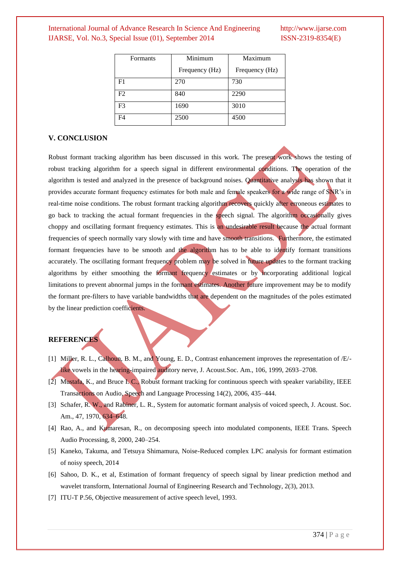| <b>Formants</b> | Minimum        | Maximum        |
|-----------------|----------------|----------------|
|                 | Frequency (Hz) | Frequency (Hz) |
| F1              | 270            | 730            |
| F2              | 840            | 2290           |
| F <sub>3</sub>  | 1690           | 3010           |
| F4              | 2500           | 4500           |

#### **V. CONCLUSION**

Robust formant tracking algorithm has been discussed in this work. The present work shows the testing of robust tracking algorithm for a speech signal in different environmental conditions. The operation of the algorithm is tested and analyzed in the presence of background noises. Quantitative analysis has shown that it provides accurate formant frequency estimates for both male and female speakers for a wide range of SNR"s in real-time noise conditions. The robust formant tracking algorithm recovers quickly after erroneous estimates to go back to tracking the actual formant frequencies in the speech signal. The algorithm occasionally gives choppy and oscillating formant frequency estimates. This is an undesirable result because the actual formant frequencies of speech normally vary slowly with time and have smooth transitions. Furthermore, the estimated formant frequencies have to be smooth and the algorithm has to be able to identify formant transitions accurately. The oscillating formant frequency problem may be solved in future updates to the formant tracking algorithms by either smoothing the formant frequency estimates or by incorporating additional logical limitations to prevent abnormal jumps in the formant estimates. Another future improvement may be to modify the formant pre-filters to have variable bandwidths that are dependent on the magnitudes of the poles estimated by the linear prediction coefficients.

#### **REFERENCES**

- [1] Miller, R. L., Calhoun, B. M., and Young, E. D., Contrast enhancement improves the representation of /E/ like vowels in the hearing-impaired auditory nerve, J. Acoust.Soc. Am., 106, 1999, 2693–2708.
- [2] Mustafa, K., and Bruce I. C., Robust formant tracking for continuous speech with speaker variability, IEEE Transactions on Audio, Speech and Language Processing 14(2), 2006, 435–444.
- [3] Schafer, R. W., and Rabiner, L. R., System for automatic formant analysis of voiced speech, J. Acoust. Soc. Am., 47, 1970, 634–648.
- [4] Rao, A., and Kumaresan, R., on decomposing speech into modulated components, IEEE Trans. Speech Audio Processing, 8, 2000, 240–254.
- [5] Kaneko, Takuma, and Tetsuya Shimamura, Noise-Reduced complex LPC analysis for formant estimation of noisy speech, 2014
- [6] Sahoo, D. K., et al, Estimation of formant frequency of speech signal by linear prediction method and wavelet transform, International Journal of Engineering Research and Technology, 2(3), 2013.
- [7] ITU-T P.56, Objective measurement of active speech level, 1993.